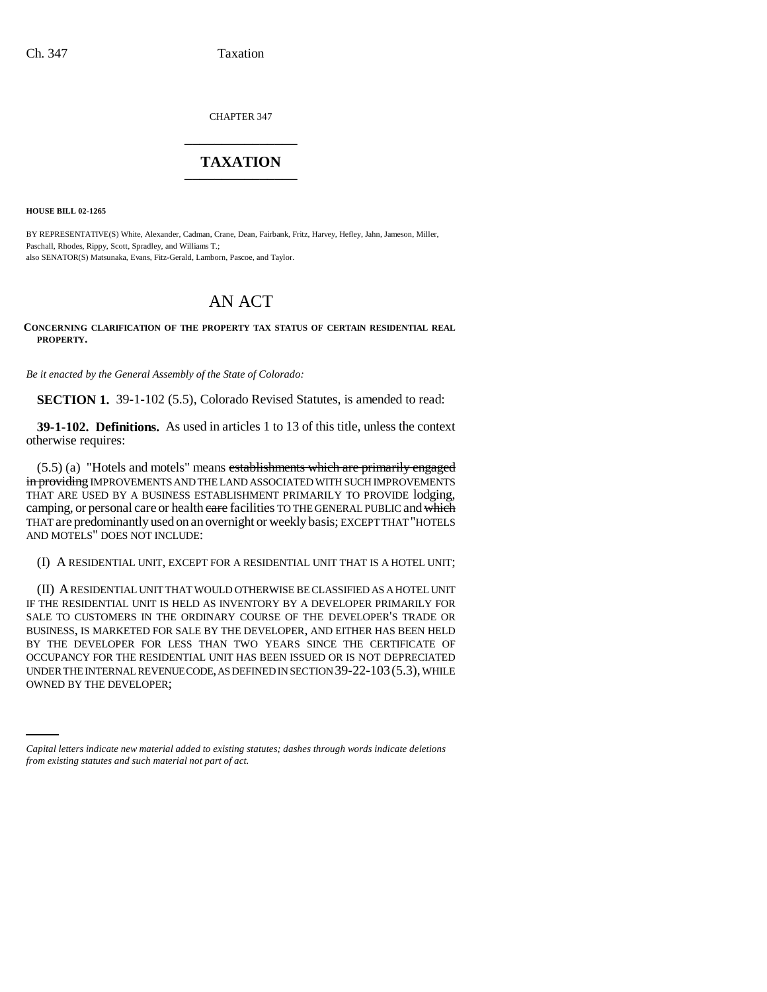CHAPTER 347 \_\_\_\_\_\_\_\_\_\_\_\_\_\_\_

# **TAXATION** \_\_\_\_\_\_\_\_\_\_\_\_\_\_\_

**HOUSE BILL 02-1265**

BY REPRESENTATIVE(S) White, Alexander, Cadman, Crane, Dean, Fairbank, Fritz, Harvey, Hefley, Jahn, Jameson, Miller, Paschall, Rhodes, Rippy, Scott, Spradley, and Williams T.; also SENATOR(S) Matsunaka, Evans, Fitz-Gerald, Lamborn, Pascoe, and Taylor.

# AN ACT

### **CONCERNING CLARIFICATION OF THE PROPERTY TAX STATUS OF CERTAIN RESIDENTIAL REAL PROPERTY.**

*Be it enacted by the General Assembly of the State of Colorado:*

**SECTION 1.** 39-1-102 (5.5), Colorado Revised Statutes, is amended to read:

**39-1-102. Definitions.** As used in articles 1 to 13 of this title, unless the context otherwise requires:

(5.5) (a) "Hotels and motels" means establishments which are primarily engaged in providing IMPROVEMENTS AND THE LAND ASSOCIATED WITH SUCH IMPROVEMENTS THAT ARE USED BY A BUSINESS ESTABLISHMENT PRIMARILY TO PROVIDE lodging, camping, or personal care or health eare facilities TO THE GENERAL PUBLIC and which THAT are predominantly used on an overnight or weekly basis; EXCEPT THAT "HOTELS AND MOTELS" DOES NOT INCLUDE:

(I) A RESIDENTIAL UNIT, EXCEPT FOR A RESIDENTIAL UNIT THAT IS A HOTEL UNIT;

UNDER THE INTERNAL REVENUE CODE, AS DEFINED IN SECTION 39-22-103(5.3), WHILE (II) A RESIDENTIAL UNIT THAT WOULD OTHERWISE BE CLASSIFIED AS A HOTEL UNIT IF THE RESIDENTIAL UNIT IS HELD AS INVENTORY BY A DEVELOPER PRIMARILY FOR SALE TO CUSTOMERS IN THE ORDINARY COURSE OF THE DEVELOPER'S TRADE OR BUSINESS, IS MARKETED FOR SALE BY THE DEVELOPER, AND EITHER HAS BEEN HELD BY THE DEVELOPER FOR LESS THAN TWO YEARS SINCE THE CERTIFICATE OF OCCUPANCY FOR THE RESIDENTIAL UNIT HAS BEEN ISSUED OR IS NOT DEPRECIATED OWNED BY THE DEVELOPER;

*Capital letters indicate new material added to existing statutes; dashes through words indicate deletions from existing statutes and such material not part of act.*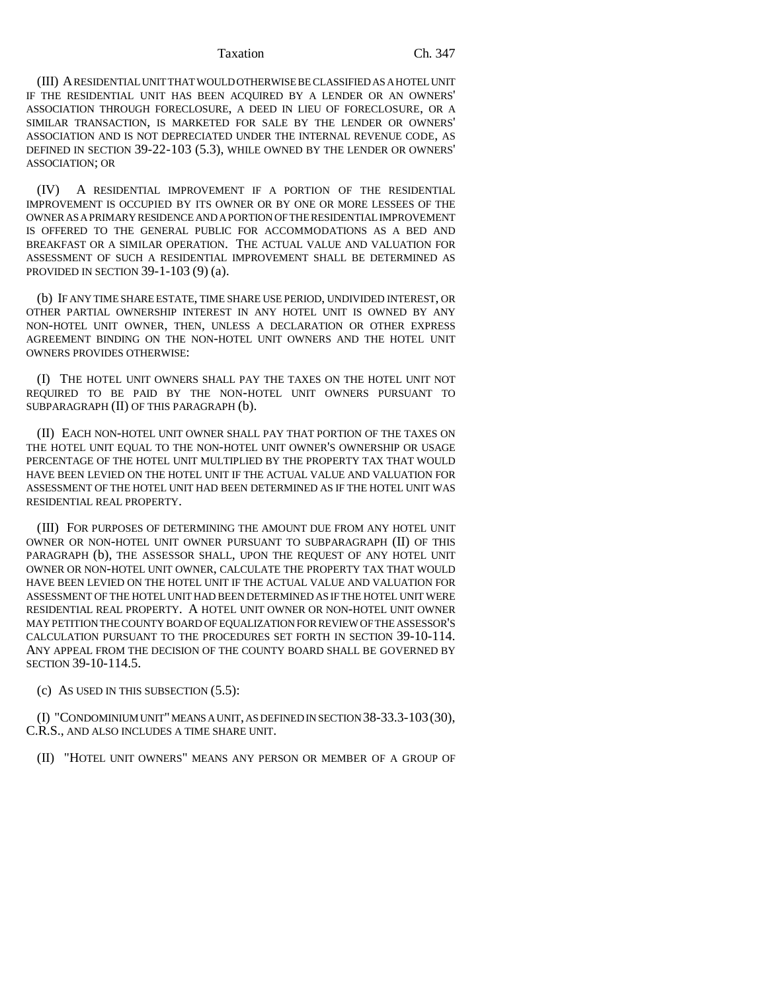#### Taxation Ch. 347

(III) A RESIDENTIAL UNIT THAT WOULD OTHERWISE BE CLASSIFIED AS A HOTEL UNIT IF THE RESIDENTIAL UNIT HAS BEEN ACQUIRED BY A LENDER OR AN OWNERS' ASSOCIATION THROUGH FORECLOSURE, A DEED IN LIEU OF FORECLOSURE, OR A SIMILAR TRANSACTION, IS MARKETED FOR SALE BY THE LENDER OR OWNERS' ASSOCIATION AND IS NOT DEPRECIATED UNDER THE INTERNAL REVENUE CODE, AS DEFINED IN SECTION 39-22-103 (5.3), WHILE OWNED BY THE LENDER OR OWNERS' ASSOCIATION; OR

(IV) A RESIDENTIAL IMPROVEMENT IF A PORTION OF THE RESIDENTIAL IMPROVEMENT IS OCCUPIED BY ITS OWNER OR BY ONE OR MORE LESSEES OF THE OWNER AS A PRIMARY RESIDENCE AND A PORTION OF THE RESIDENTIAL IMPROVEMENT IS OFFERED TO THE GENERAL PUBLIC FOR ACCOMMODATIONS AS A BED AND BREAKFAST OR A SIMILAR OPERATION. THE ACTUAL VALUE AND VALUATION FOR ASSESSMENT OF SUCH A RESIDENTIAL IMPROVEMENT SHALL BE DETERMINED AS PROVIDED IN SECTION 39-1-103 (9) (a).

(b) IF ANY TIME SHARE ESTATE, TIME SHARE USE PERIOD, UNDIVIDED INTEREST, OR OTHER PARTIAL OWNERSHIP INTEREST IN ANY HOTEL UNIT IS OWNED BY ANY NON-HOTEL UNIT OWNER, THEN, UNLESS A DECLARATION OR OTHER EXPRESS AGREEMENT BINDING ON THE NON-HOTEL UNIT OWNERS AND THE HOTEL UNIT OWNERS PROVIDES OTHERWISE:

(I) THE HOTEL UNIT OWNERS SHALL PAY THE TAXES ON THE HOTEL UNIT NOT REQUIRED TO BE PAID BY THE NON-HOTEL UNIT OWNERS PURSUANT TO SUBPARAGRAPH (II) OF THIS PARAGRAPH (b).

(II) EACH NON-HOTEL UNIT OWNER SHALL PAY THAT PORTION OF THE TAXES ON THE HOTEL UNIT EQUAL TO THE NON-HOTEL UNIT OWNER'S OWNERSHIP OR USAGE PERCENTAGE OF THE HOTEL UNIT MULTIPLIED BY THE PROPERTY TAX THAT WOULD HAVE BEEN LEVIED ON THE HOTEL UNIT IF THE ACTUAL VALUE AND VALUATION FOR ASSESSMENT OF THE HOTEL UNIT HAD BEEN DETERMINED AS IF THE HOTEL UNIT WAS RESIDENTIAL REAL PROPERTY.

(III) FOR PURPOSES OF DETERMINING THE AMOUNT DUE FROM ANY HOTEL UNIT OWNER OR NON-HOTEL UNIT OWNER PURSUANT TO SUBPARAGRAPH (II) OF THIS PARAGRAPH (b), THE ASSESSOR SHALL, UPON THE REQUEST OF ANY HOTEL UNIT OWNER OR NON-HOTEL UNIT OWNER, CALCULATE THE PROPERTY TAX THAT WOULD HAVE BEEN LEVIED ON THE HOTEL UNIT IF THE ACTUAL VALUE AND VALUATION FOR ASSESSMENT OF THE HOTEL UNIT HAD BEEN DETERMINED AS IF THE HOTEL UNIT WERE RESIDENTIAL REAL PROPERTY. A HOTEL UNIT OWNER OR NON-HOTEL UNIT OWNER MAY PETITION THE COUNTY BOARD OF EQUALIZATION FOR REVIEW OF THE ASSESSOR'S CALCULATION PURSUANT TO THE PROCEDURES SET FORTH IN SECTION 39-10-114. ANY APPEAL FROM THE DECISION OF THE COUNTY BOARD SHALL BE GOVERNED BY SECTION 39-10-114.5.

(c) AS USED IN THIS SUBSECTION (5.5):

(I) "CONDOMINIUM UNIT" MEANS A UNIT, AS DEFINED IN SECTION 38-33.3-103(30), C.R.S., AND ALSO INCLUDES A TIME SHARE UNIT.

(II) "HOTEL UNIT OWNERS" MEANS ANY PERSON OR MEMBER OF A GROUP OF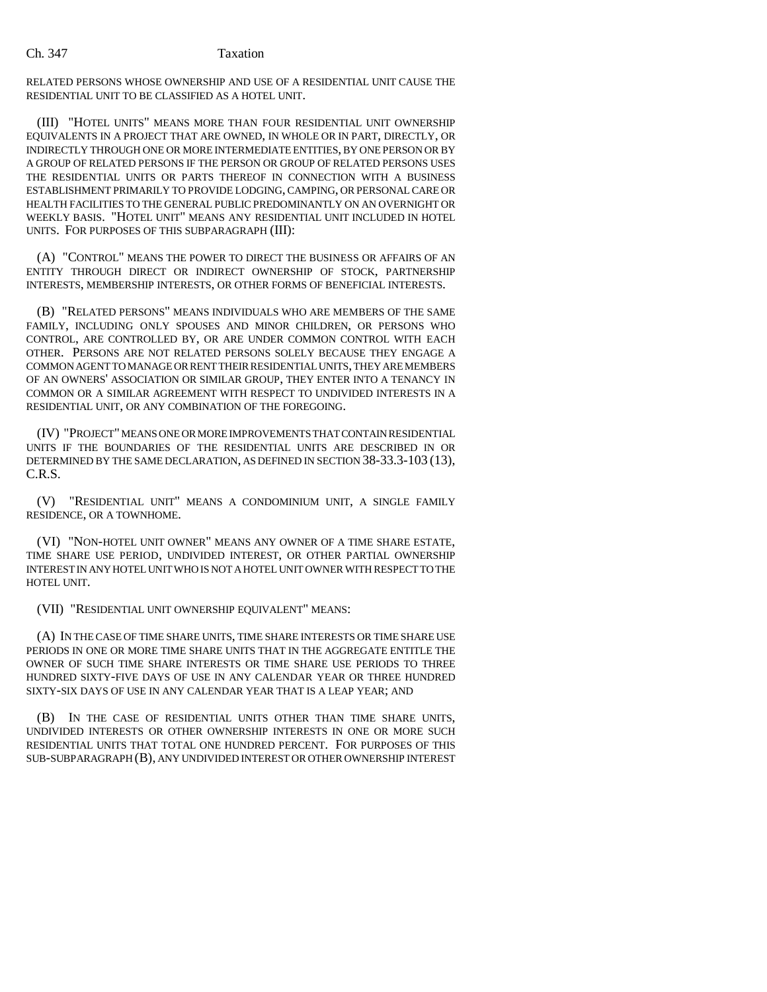## Ch. 347 Taxation

RELATED PERSONS WHOSE OWNERSHIP AND USE OF A RESIDENTIAL UNIT CAUSE THE RESIDENTIAL UNIT TO BE CLASSIFIED AS A HOTEL UNIT.

(III) "HOTEL UNITS" MEANS MORE THAN FOUR RESIDENTIAL UNIT OWNERSHIP EQUIVALENTS IN A PROJECT THAT ARE OWNED, IN WHOLE OR IN PART, DIRECTLY, OR INDIRECTLY THROUGH ONE OR MORE INTERMEDIATE ENTITIES, BY ONE PERSON OR BY A GROUP OF RELATED PERSONS IF THE PERSON OR GROUP OF RELATED PERSONS USES THE RESIDENTIAL UNITS OR PARTS THEREOF IN CONNECTION WITH A BUSINESS ESTABLISHMENT PRIMARILY TO PROVIDE LODGING, CAMPING, OR PERSONAL CARE OR HEALTH FACILITIES TO THE GENERAL PUBLIC PREDOMINANTLY ON AN OVERNIGHT OR WEEKLY BASIS. "HOTEL UNIT" MEANS ANY RESIDENTIAL UNIT INCLUDED IN HOTEL UNITS. FOR PURPOSES OF THIS SUBPARAGRAPH (III):

(A) "CONTROL" MEANS THE POWER TO DIRECT THE BUSINESS OR AFFAIRS OF AN ENTITY THROUGH DIRECT OR INDIRECT OWNERSHIP OF STOCK, PARTNERSHIP INTERESTS, MEMBERSHIP INTERESTS, OR OTHER FORMS OF BENEFICIAL INTERESTS.

(B) "RELATED PERSONS" MEANS INDIVIDUALS WHO ARE MEMBERS OF THE SAME FAMILY, INCLUDING ONLY SPOUSES AND MINOR CHILDREN, OR PERSONS WHO CONTROL, ARE CONTROLLED BY, OR ARE UNDER COMMON CONTROL WITH EACH OTHER. PERSONS ARE NOT RELATED PERSONS SOLELY BECAUSE THEY ENGAGE A COMMON AGENT TO MANAGE OR RENT THEIR RESIDENTIAL UNITS, THEY ARE MEMBERS OF AN OWNERS' ASSOCIATION OR SIMILAR GROUP, THEY ENTER INTO A TENANCY IN COMMON OR A SIMILAR AGREEMENT WITH RESPECT TO UNDIVIDED INTERESTS IN A RESIDENTIAL UNIT, OR ANY COMBINATION OF THE FOREGOING.

(IV) "PROJECT" MEANS ONE OR MORE IMPROVEMENTS THAT CONTAIN RESIDENTIAL UNITS IF THE BOUNDARIES OF THE RESIDENTIAL UNITS ARE DESCRIBED IN OR DETERMINED BY THE SAME DECLARATION, AS DEFINED IN SECTION 38-33.3-103 (13), C.R.S.

(V) "RESIDENTIAL UNIT" MEANS A CONDOMINIUM UNIT, A SINGLE FAMILY RESIDENCE, OR A TOWNHOME.

(VI) "NON-HOTEL UNIT OWNER" MEANS ANY OWNER OF A TIME SHARE ESTATE, TIME SHARE USE PERIOD, UNDIVIDED INTEREST, OR OTHER PARTIAL OWNERSHIP INTEREST IN ANY HOTEL UNIT WHO IS NOT A HOTEL UNIT OWNER WITH RESPECT TO THE HOTEL UNIT.

(VII) "RESIDENTIAL UNIT OWNERSHIP EQUIVALENT" MEANS:

(A) IN THE CASE OF TIME SHARE UNITS, TIME SHARE INTERESTS OR TIME SHARE USE PERIODS IN ONE OR MORE TIME SHARE UNITS THAT IN THE AGGREGATE ENTITLE THE OWNER OF SUCH TIME SHARE INTERESTS OR TIME SHARE USE PERIODS TO THREE HUNDRED SIXTY-FIVE DAYS OF USE IN ANY CALENDAR YEAR OR THREE HUNDRED SIXTY-SIX DAYS OF USE IN ANY CALENDAR YEAR THAT IS A LEAP YEAR; AND

(B) IN THE CASE OF RESIDENTIAL UNITS OTHER THAN TIME SHARE UNITS, UNDIVIDED INTERESTS OR OTHER OWNERSHIP INTERESTS IN ONE OR MORE SUCH RESIDENTIAL UNITS THAT TOTAL ONE HUNDRED PERCENT. FOR PURPOSES OF THIS SUB-SUBPARAGRAPH (B), ANY UNDIVIDED INTEREST OR OTHER OWNERSHIP INTEREST